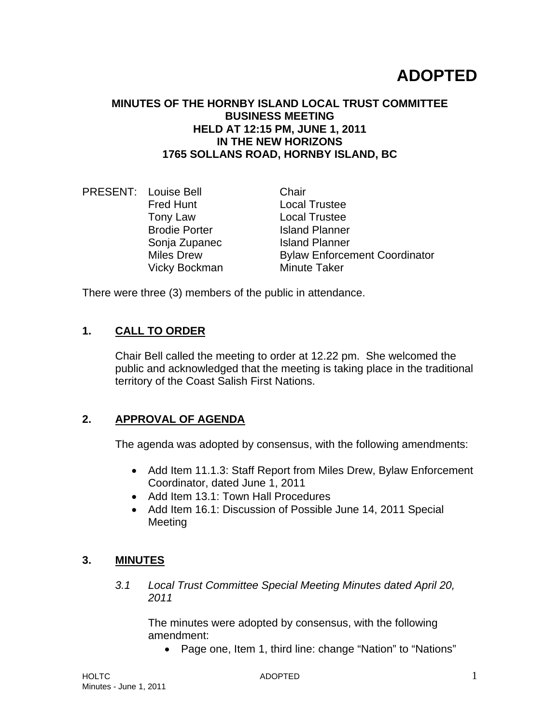# **ADOPTED**

#### **MINUTES OF THE HORNBY ISLAND LOCAL TRUST COMMITTEE BUSINESS MEETING HELD AT 12:15 PM, JUNE 1, 2011 IN THE NEW HORIZONS 1765 SOLLANS ROAD, HORNBY ISLAND, BC**

PRESENT: Louise Bell Chair Fred Hunt Local Trustee Tony Law Local Trustee Brodie Porter **Island Planner** Sonja Zupanec Island Planner Miles Drew **Bylaw Enforcement Coordinator** Vicky Bockman Minute Taker

There were three (3) members of the public in attendance.

## **1. CALL TO ORDER**

Chair Bell called the meeting to order at 12.22 pm. She welcomed the public and acknowledged that the meeting is taking place in the traditional territory of the Coast Salish First Nations.

#### **2. APPROVAL OF AGENDA**

The agenda was adopted by consensus, with the following amendments:

- Add Item 11.1.3: Staff Report from Miles Drew, Bylaw Enforcement Coordinator, dated June 1, 2011
- Add Item 13.1: Town Hall Procedures
- Add Item 16.1: Discussion of Possible June 14, 2011 Special Meeting

## **3. MINUTES**

*3.1 Local Trust Committee Special Meeting Minutes dated April 20, 2011* 

The minutes were adopted by consensus, with the following amendment:

Page one, Item 1, third line: change "Nation" to "Nations"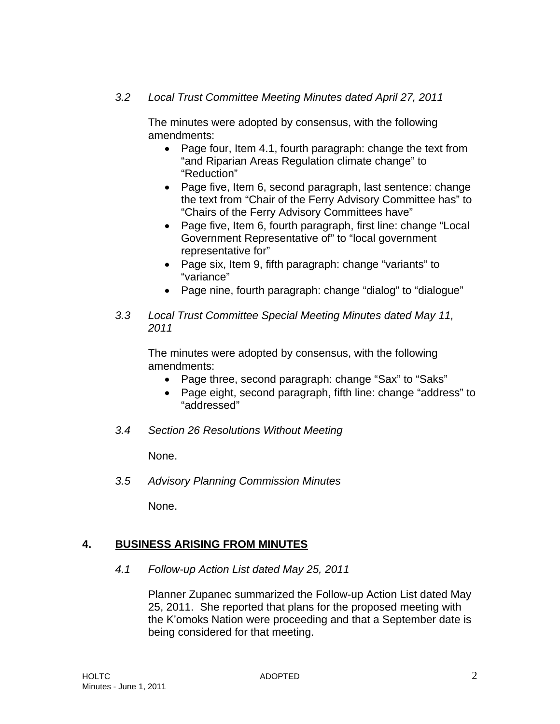#### *3.2 Local Trust Committee Meeting Minutes dated April 27, 2011*

The minutes were adopted by consensus, with the following amendments:

- Page four, Item 4.1, fourth paragraph: change the text from "and Riparian Areas Regulation climate change" to "Reduction"
- Page five, Item 6, second paragraph, last sentence: change the text from "Chair of the Ferry Advisory Committee has" to "Chairs of the Ferry Advisory Committees have"
- Page five, Item 6, fourth paragraph, first line: change "Local Government Representative of" to "local government representative for"
- Page six, Item 9, fifth paragraph: change "variants" to "variance"
- Page nine, fourth paragraph: change "dialog" to "dialogue"
- *3.3 Local Trust Committee Special Meeting Minutes dated May 11, 2011*

The minutes were adopted by consensus, with the following amendments:

- Page three, second paragraph: change "Sax" to "Saks"
- Page eight, second paragraph, fifth line: change "address" to "addressed"
- *3.4 Section 26 Resolutions Without Meeting*

None.

*3.5 Advisory Planning Commission Minutes* 

None.

## **4. BUSINESS ARISING FROM MINUTES**

*4.1 Follow-up Action List dated May 25, 2011* 

Planner Zupanec summarized the Follow-up Action List dated May 25, 2011. She reported that plans for the proposed meeting with the K'omoks Nation were proceeding and that a September date is being considered for that meeting.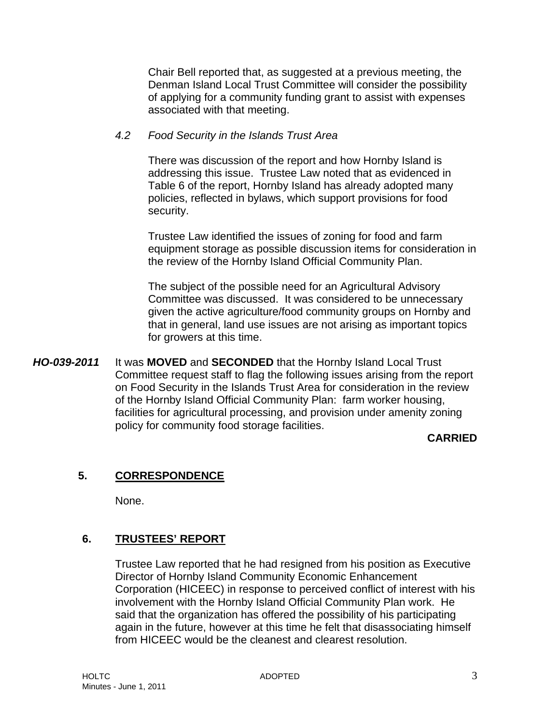Chair Bell reported that, as suggested at a previous meeting, the Denman Island Local Trust Committee will consider the possibility of applying for a community funding grant to assist with expenses associated with that meeting.

#### *4.2 Food Security in the Islands Trust Area*

There was discussion of the report and how Hornby Island is addressing this issue. Trustee Law noted that as evidenced in Table 6 of the report, Hornby Island has already adopted many policies, reflected in bylaws, which support provisions for food security.

Trustee Law identified the issues of zoning for food and farm equipment storage as possible discussion items for consideration in the review of the Hornby Island Official Community Plan.

The subject of the possible need for an Agricultural Advisory Committee was discussed. It was considered to be unnecessary given the active agriculture/food community groups on Hornby and that in general, land use issues are not arising as important topics for growers at this time.

*HO-039-2011* It was **MOVED** and **SECONDED** that the Hornby Island Local Trust Committee request staff to flag the following issues arising from the report on Food Security in the Islands Trust Area for consideration in the review of the Hornby Island Official Community Plan: farm worker housing, facilities for agricultural processing, and provision under amenity zoning policy for community food storage facilities.

## **CARRIED**

## **5. CORRESPONDENCE**

None.

## **6. TRUSTEES' REPORT**

Trustee Law reported that he had resigned from his position as Executive Director of Hornby Island Community Economic Enhancement Corporation (HICEEC) in response to perceived conflict of interest with his involvement with the Hornby Island Official Community Plan work. He said that the organization has offered the possibility of his participating again in the future, however at this time he felt that disassociating himself from HICEEC would be the cleanest and clearest resolution.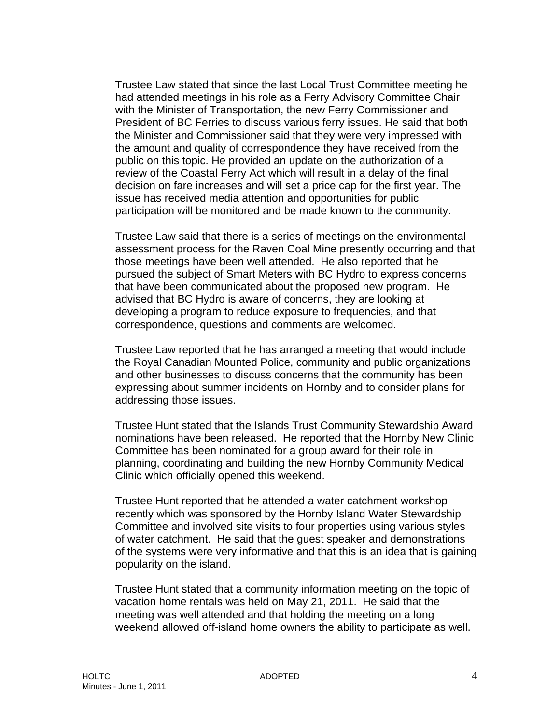Trustee Law stated that since the last Local Trust Committee meeting he had attended meetings in his role as a Ferry Advisory Committee Chair with the Minister of Transportation, the new Ferry Commissioner and President of BC Ferries to discuss various ferry issues. He said that both the Minister and Commissioner said that they were very impressed with the amount and quality of correspondence they have received from the public on this topic. He provided an update on the authorization of a review of the Coastal Ferry Act which will result in a delay of the final decision on fare increases and will set a price cap for the first year. The issue has received media attention and opportunities for public participation will be monitored and be made known to the community.

Trustee Law said that there is a series of meetings on the environmental assessment process for the Raven Coal Mine presently occurring and that those meetings have been well attended. He also reported that he pursued the subject of Smart Meters with BC Hydro to express concerns that have been communicated about the proposed new program. He advised that BC Hydro is aware of concerns, they are looking at developing a program to reduce exposure to frequencies, and that correspondence, questions and comments are welcomed.

Trustee Law reported that he has arranged a meeting that would include the Royal Canadian Mounted Police, community and public organizations and other businesses to discuss concerns that the community has been expressing about summer incidents on Hornby and to consider plans for addressing those issues.

Trustee Hunt stated that the Islands Trust Community Stewardship Award nominations have been released. He reported that the Hornby New Clinic Committee has been nominated for a group award for their role in planning, coordinating and building the new Hornby Community Medical Clinic which officially opened this weekend.

Trustee Hunt reported that he attended a water catchment workshop recently which was sponsored by the Hornby Island Water Stewardship Committee and involved site visits to four properties using various styles of water catchment. He said that the guest speaker and demonstrations of the systems were very informative and that this is an idea that is gaining popularity on the island.

Trustee Hunt stated that a community information meeting on the topic of vacation home rentals was held on May 21, 2011. He said that the meeting was well attended and that holding the meeting on a long weekend allowed off-island home owners the ability to participate as well.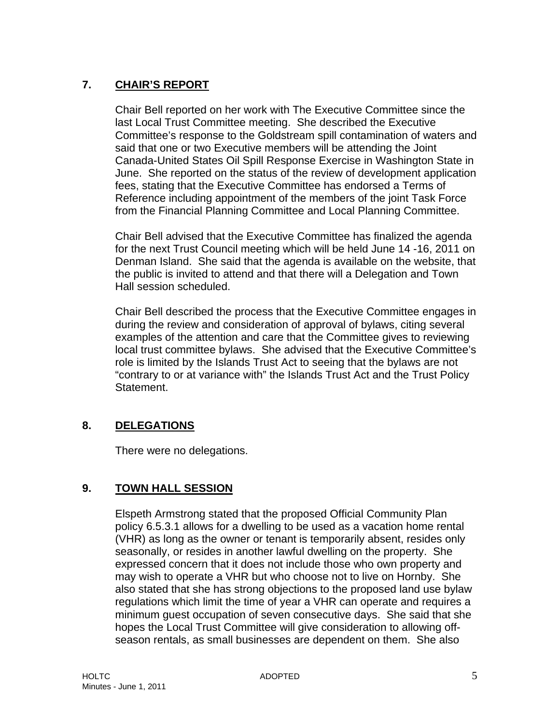# **7. CHAIR'S REPORT**

Chair Bell reported on her work with The Executive Committee since the last Local Trust Committee meeting. She described the Executive Committee's response to the Goldstream spill contamination of waters and said that one or two Executive members will be attending the Joint Canada-United States Oil Spill Response Exercise in Washington State in June. She reported on the status of the review of development application fees, stating that the Executive Committee has endorsed a Terms of Reference including appointment of the members of the joint Task Force from the Financial Planning Committee and Local Planning Committee.

Chair Bell advised that the Executive Committee has finalized the agenda for the next Trust Council meeting which will be held June 14 -16, 2011 on Denman Island. She said that the agenda is available on the website, that the public is invited to attend and that there will a Delegation and Town Hall session scheduled.

Chair Bell described the process that the Executive Committee engages in during the review and consideration of approval of bylaws, citing several examples of the attention and care that the Committee gives to reviewing local trust committee bylaws. She advised that the Executive Committee's role is limited by the Islands Trust Act to seeing that the bylaws are not "contrary to or at variance with" the Islands Trust Act and the Trust Policy Statement.

# **8. DELEGATIONS**

There were no delegations.

## **9. TOWN HALL SESSION**

Elspeth Armstrong stated that the proposed Official Community Plan policy 6.5.3.1 allows for a dwelling to be used as a vacation home rental (VHR) as long as the owner or tenant is temporarily absent, resides only seasonally, or resides in another lawful dwelling on the property. She expressed concern that it does not include those who own property and may wish to operate a VHR but who choose not to live on Hornby. She also stated that she has strong objections to the proposed land use bylaw regulations which limit the time of year a VHR can operate and requires a minimum guest occupation of seven consecutive days. She said that she hopes the Local Trust Committee will give consideration to allowing offseason rentals, as small businesses are dependent on them. She also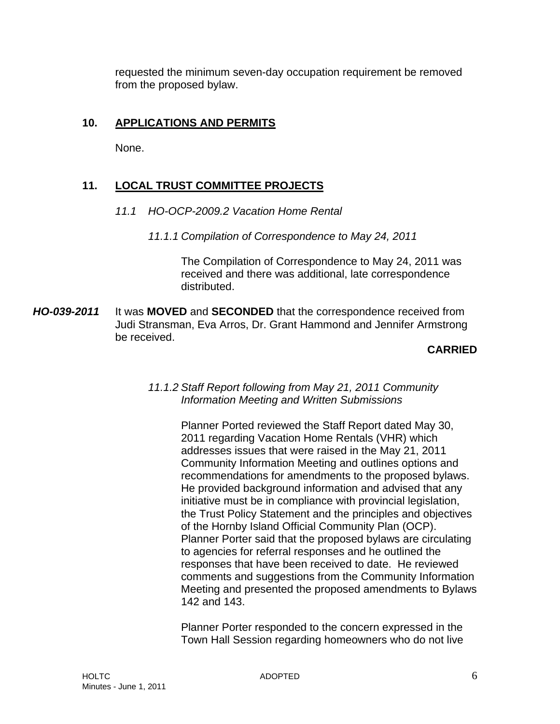requested the minimum seven-day occupation requirement be removed from the proposed bylaw.

## **10. APPLICATIONS AND PERMITS**

None.

# **11. LOCAL TRUST COMMITTEE PROJECTS**

- *11.1 HO-OCP-2009.2 Vacation Home Rental* 
	- *11.1.1 Compilation of Correspondence to May 24, 2011*

The Compilation of Correspondence to May 24, 2011 was received and there was additional, late correspondence distributed.

*HO-039-2011* It was **MOVED** and **SECONDED** that the correspondence received from Judi Stransman, Eva Arros, Dr. Grant Hammond and Jennifer Armstrong be received.

## **CARRIED**

#### *11.1.2 Staff Report following from May 21, 2011 Community Information Meeting and Written Submissions*

Planner Ported reviewed the Staff Report dated May 30, 2011 regarding Vacation Home Rentals (VHR) which addresses issues that were raised in the May 21, 2011 Community Information Meeting and outlines options and recommendations for amendments to the proposed bylaws. He provided background information and advised that any initiative must be in compliance with provincial legislation, the Trust Policy Statement and the principles and objectives of the Hornby Island Official Community Plan (OCP). Planner Porter said that the proposed bylaws are circulating to agencies for referral responses and he outlined the responses that have been received to date. He reviewed comments and suggestions from the Community Information Meeting and presented the proposed amendments to Bylaws 142 and 143.

Planner Porter responded to the concern expressed in the Town Hall Session regarding homeowners who do not live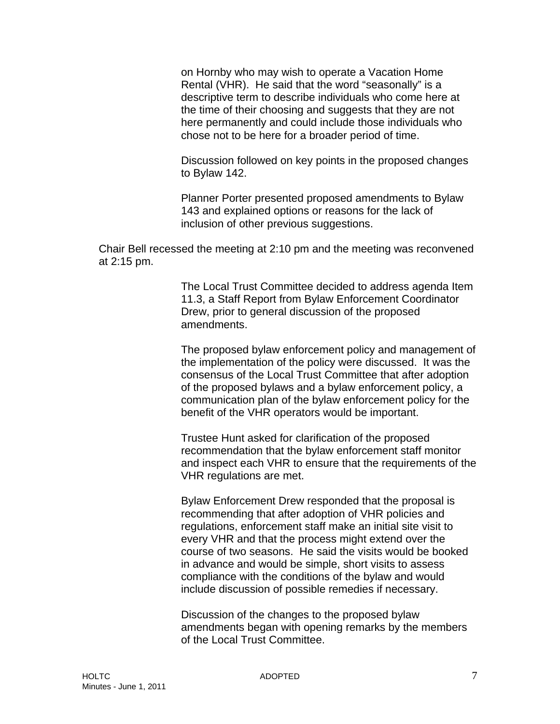on Hornby who may wish to operate a Vacation Home Rental (VHR). He said that the word "seasonally" is a descriptive term to describe individuals who come here at the time of their choosing and suggests that they are not here permanently and could include those individuals who chose not to be here for a broader period of time.

Discussion followed on key points in the proposed changes to Bylaw 142.

Planner Porter presented proposed amendments to Bylaw 143 and explained options or reasons for the lack of inclusion of other previous suggestions.

Chair Bell recessed the meeting at 2:10 pm and the meeting was reconvened at 2:15 pm.

> The Local Trust Committee decided to address agenda Item 11.3, a Staff Report from Bylaw Enforcement Coordinator Drew, prior to general discussion of the proposed amendments.

> The proposed bylaw enforcement policy and management of the implementation of the policy were discussed. It was the consensus of the Local Trust Committee that after adoption of the proposed bylaws and a bylaw enforcement policy, a communication plan of the bylaw enforcement policy for the benefit of the VHR operators would be important.

> Trustee Hunt asked for clarification of the proposed recommendation that the bylaw enforcement staff monitor and inspect each VHR to ensure that the requirements of the VHR regulations are met.

Bylaw Enforcement Drew responded that the proposal is recommending that after adoption of VHR policies and regulations, enforcement staff make an initial site visit to every VHR and that the process might extend over the course of two seasons. He said the visits would be booked in advance and would be simple, short visits to assess compliance with the conditions of the bylaw and would include discussion of possible remedies if necessary.

Discussion of the changes to the proposed bylaw amendments began with opening remarks by the members of the Local Trust Committee.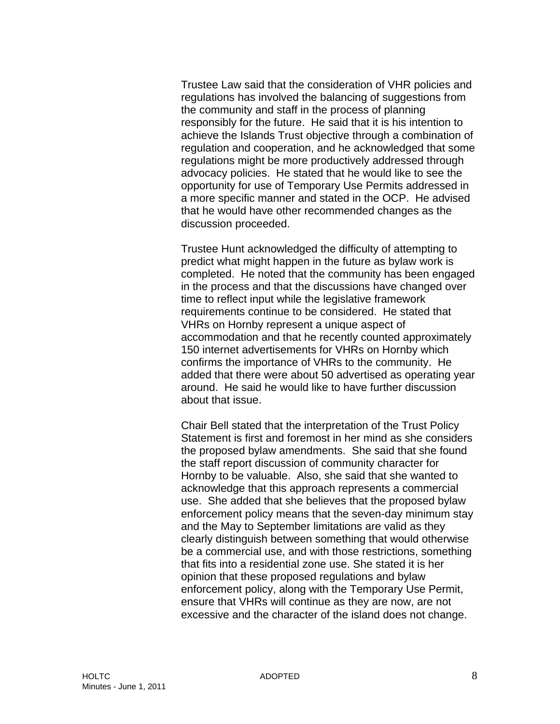Trustee Law said that the consideration of VHR policies and regulations has involved the balancing of suggestions from the community and staff in the process of planning responsibly for the future. He said that it is his intention to achieve the Islands Trust objective through a combination of regulation and cooperation, and he acknowledged that some regulations might be more productively addressed through advocacy policies. He stated that he would like to see the opportunity for use of Temporary Use Permits addressed in a more specific manner and stated in the OCP. He advised that he would have other recommended changes as the discussion proceeded.

Trustee Hunt acknowledged the difficulty of attempting to predict what might happen in the future as bylaw work is completed. He noted that the community has been engaged in the process and that the discussions have changed over time to reflect input while the legislative framework requirements continue to be considered. He stated that VHRs on Hornby represent a unique aspect of accommodation and that he recently counted approximately 150 internet advertisements for VHRs on Hornby which confirms the importance of VHRs to the community. He added that there were about 50 advertised as operating year around. He said he would like to have further discussion about that issue.

Chair Bell stated that the interpretation of the Trust Policy Statement is first and foremost in her mind as she considers the proposed bylaw amendments. She said that she found the staff report discussion of community character for Hornby to be valuable. Also, she said that she wanted to acknowledge that this approach represents a commercial use. She added that she believes that the proposed bylaw enforcement policy means that the seven-day minimum stay and the May to September limitations are valid as they clearly distinguish between something that would otherwise be a commercial use, and with those restrictions, something that fits into a residential zone use. She stated it is her opinion that these proposed regulations and bylaw enforcement policy, along with the Temporary Use Permit, ensure that VHRs will continue as they are now, are not excessive and the character of the island does not change.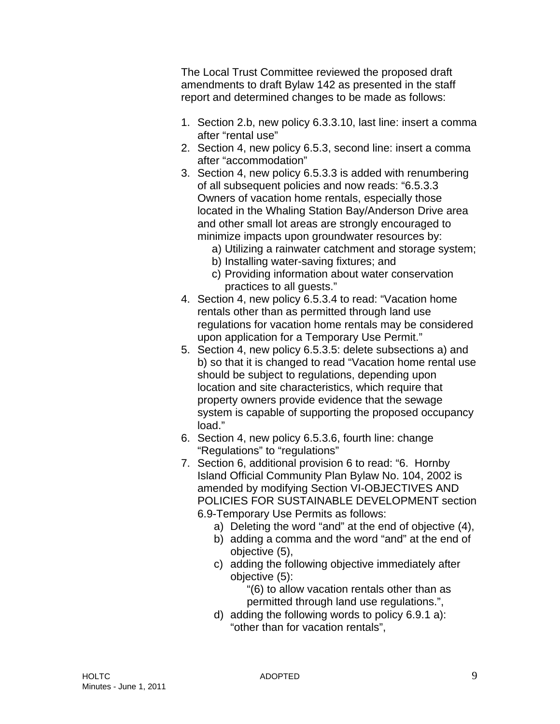The Local Trust Committee reviewed the proposed draft amendments to draft Bylaw 142 as presented in the staff report and determined changes to be made as follows:

- 1. Section 2.b, new policy 6.3.3.10, last line: insert a comma after "rental use"
- 2. Section 4, new policy 6.5.3, second line: insert a comma after "accommodation"
- 3. Section 4, new policy 6.5.3.3 is added with renumbering of all subsequent policies and now reads: "6.5.3.3 Owners of vacation home rentals, especially those located in the Whaling Station Bay/Anderson Drive area and other small lot areas are strongly encouraged to minimize impacts upon groundwater resources by:
	- a) Utilizing a rainwater catchment and storage system;
	- b) Installing water-saving fixtures; and
	- c) Providing information about water conservation practices to all guests."
- 4. Section 4, new policy 6.5.3.4 to read: "Vacation home rentals other than as permitted through land use regulations for vacation home rentals may be considered upon application for a Temporary Use Permit."
- 5. Section 4, new policy 6.5.3.5: delete subsections a) and b) so that it is changed to read "Vacation home rental use should be subject to regulations, depending upon location and site characteristics, which require that property owners provide evidence that the sewage system is capable of supporting the proposed occupancy load."
- 6. Section 4, new policy 6.5.3.6, fourth line: change "Regulations" to "regulations"
- 7. Section 6, additional provision 6 to read: "6. Hornby Island Official Community Plan Bylaw No. 104, 2002 is amended by modifying Section VI-OBJECTIVES AND POLICIES FOR SUSTAINABLE DEVELOPMENT section 6.9-Temporary Use Permits as follows:
	- a) Deleting the word "and" at the end of objective (4),
	- b) adding a comma and the word "and" at the end of objective (5),
	- c) adding the following objective immediately after objective (5):

"(6) to allow vacation rentals other than as permitted through land use regulations.",

d) adding the following words to policy 6.9.1 a): "other than for vacation rentals",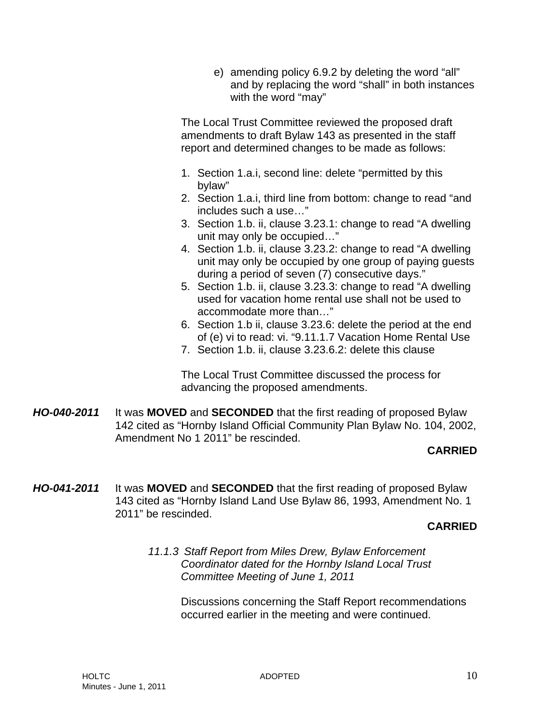e) amending policy 6.9.2 by deleting the word "all" and by replacing the word "shall" in both instances with the word "may"

The Local Trust Committee reviewed the proposed draft amendments to draft Bylaw 143 as presented in the staff report and determined changes to be made as follows:

- 1. Section 1.a.i, second line: delete "permitted by this bylaw"
- 2. Section 1.a.i, third line from bottom: change to read "and includes such a use…"
- 3. Section 1.b. ii, clause 3.23.1: change to read "A dwelling unit may only be occupied…"
- 4. Section 1.b. ii, clause 3.23.2: change to read "A dwelling unit may only be occupied by one group of paying guests during a period of seven (7) consecutive days."
- 5. Section 1.b. ii, clause 3.23.3: change to read "A dwelling used for vacation home rental use shall not be used to accommodate more than…"
- 6. Section 1.b ii, clause 3.23.6: delete the period at the end of (e) vi to read: vi. "9.11.1.7 Vacation Home Rental Use
- 7. Section 1.b. ii, clause 3.23.6.2: delete this clause

The Local Trust Committee discussed the process for advancing the proposed amendments.

*HO-040-2011* It was **MOVED** and **SECONDED** that the first reading of proposed Bylaw 142 cited as "Hornby Island Official Community Plan Bylaw No. 104, 2002, Amendment No 1 2011" be rescinded.

## **CARRIED**

*HO-041-2011* It was **MOVED** and **SECONDED** that the first reading of proposed Bylaw 143 cited as "Hornby Island Land Use Bylaw 86, 1993, Amendment No. 1 2011" be rescinded.

#### **CARRIED**

*11.1.3 Staff Report from Miles Drew, Bylaw Enforcement Coordinator dated for the Hornby Island Local Trust Committee Meeting of June 1, 2011* 

> Discussions concerning the Staff Report recommendations occurred earlier in the meeting and were continued.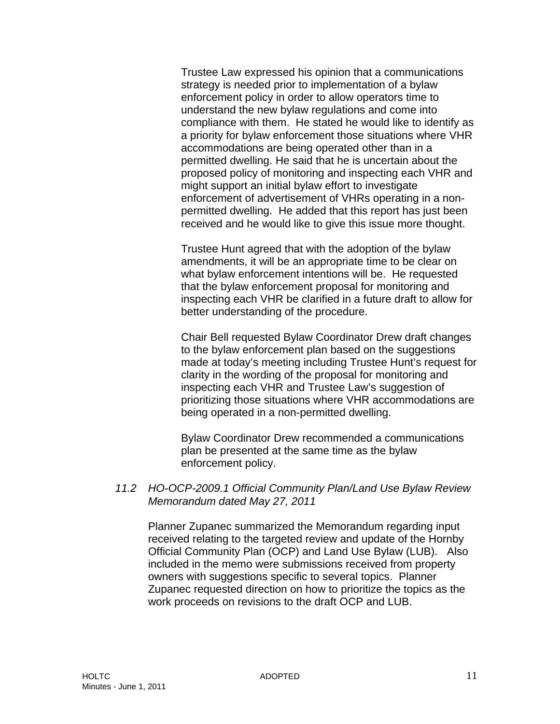Trustee Law expressed his opinion that a communications strategy is needed prior to implementation of a bylaw enforcement policy in order to allow operators time to understand the new bylaw regulations and come into compliance with them. He stated he would like to identify as a priority for bylaw enforcement those situations where VHR accommodations are being operated other than in a permitted dwelling. He said that he is uncertain about the proposed policy of monitoring and inspecting each VHR and might support an initial bylaw effort to investigate enforcement of advertisement of VHRs operating in a nonpermitted dwelling. He added that this report has just been received and he would like to give this issue more thought.

Trustee Hunt agreed that with the adoption of the bylaw amendments, it will be an appropriate time to be clear on what bylaw enforcement intentions will be. He requested that the bylaw enforcement proposal for monitoring and inspecting each VHR be clarified in a future draft to allow for better understanding of the procedure.

Chair Bell requested Bylaw Coordinator Drew draft changes to the bylaw enforcement plan based on the suggestions made at today's meeting including Trustee Hunt's request for clarity in the wording of the proposal for monitoring and inspecting each VHR and Trustee Law's suggestion of prioritizing those situations where VHR accommodations are being operated in a non-permitted dwelling.

Bylaw Coordinator Drew recommended a communications plan be presented at the same time as the bylaw enforcement policy.

#### *11.2 HO-OCP-2009.1 Official Community Plan/Land Use Bylaw Review Memorandum dated May 27, 2011*

Planner Zupanec summarized the Memorandum regarding input received relating to the targeted review and update of the Hornby Official Community Plan (OCP) and Land Use Bylaw (LUB). Also included in the memo were submissions received from property owners with suggestions specific to several topics. Planner Zupanec requested direction on how to prioritize the topics as the work proceeds on revisions to the draft OCP and LUB.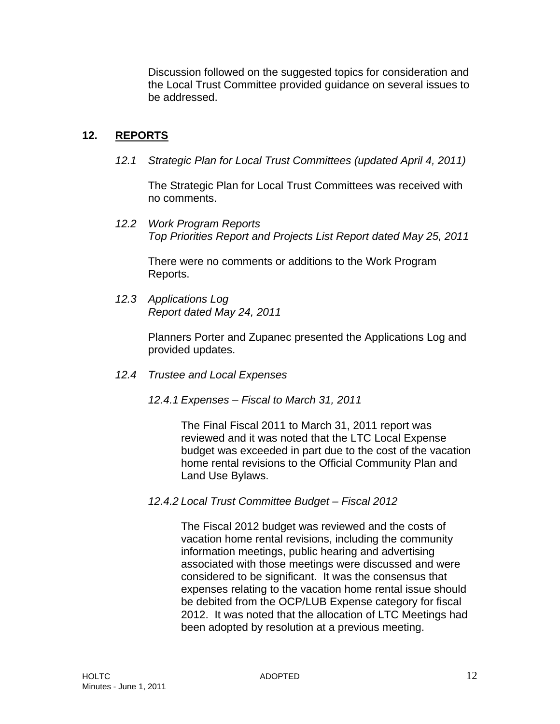Discussion followed on the suggested topics for consideration and the Local Trust Committee provided guidance on several issues to be addressed.

# **12. REPORTS**

*12.1 Strategic Plan for Local Trust Committees (updated April 4, 2011)* 

The Strategic Plan for Local Trust Committees was received with no comments.

*12.2 Work Program Reports Top Priorities Report and Projects List Report dated May 25, 2011* 

There were no comments or additions to the Work Program Reports.

*12.3 Applications Log Report dated May 24, 2011* 

> Planners Porter and Zupanec presented the Applications Log and provided updates.

- *12.4 Trustee and Local Expenses* 
	- *12.4.1 Expenses Fiscal to March 31, 2011*

The Final Fiscal 2011 to March 31, 2011 report was reviewed and it was noted that the LTC Local Expense budget was exceeded in part due to the cost of the vacation home rental revisions to the Official Community Plan and Land Use Bylaws.

*12.4.2 Local Trust Committee Budget – Fiscal 2012* 

The Fiscal 2012 budget was reviewed and the costs of vacation home rental revisions, including the community information meetings, public hearing and advertising associated with those meetings were discussed and were considered to be significant. It was the consensus that expenses relating to the vacation home rental issue should be debited from the OCP/LUB Expense category for fiscal 2012. It was noted that the allocation of LTC Meetings had been adopted by resolution at a previous meeting.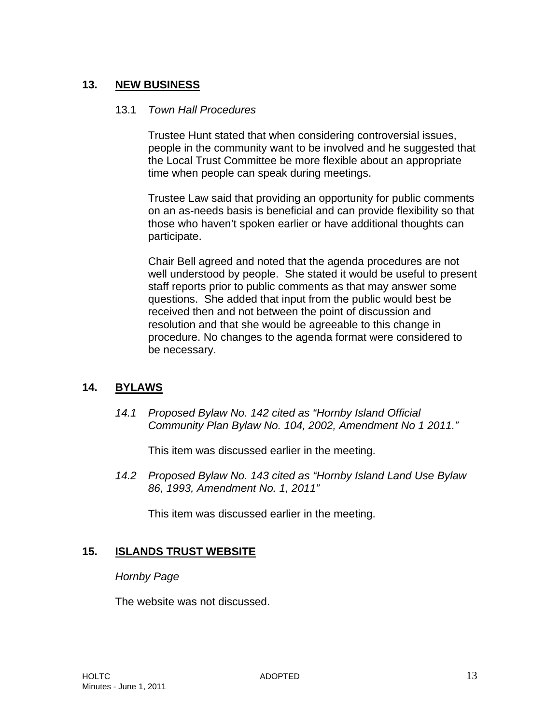# **13. NEW BUSINESS**

#### 13.1 *Town Hall Procedures*

Trustee Hunt stated that when considering controversial issues, people in the community want to be involved and he suggested that the Local Trust Committee be more flexible about an appropriate time when people can speak during meetings.

Trustee Law said that providing an opportunity for public comments on an as-needs basis is beneficial and can provide flexibility so that those who haven't spoken earlier or have additional thoughts can participate.

Chair Bell agreed and noted that the agenda procedures are not well understood by people. She stated it would be useful to present staff reports prior to public comments as that may answer some questions. She added that input from the public would best be received then and not between the point of discussion and resolution and that she would be agreeable to this change in procedure. No changes to the agenda format were considered to be necessary.

## **14. BYLAWS**

*14.1 Proposed Bylaw No. 142 cited as "Hornby Island Official Community Plan Bylaw No. 104, 2002, Amendment No 1 2011."* 

This item was discussed earlier in the meeting.

*14.2 Proposed Bylaw No. 143 cited as "Hornby Island Land Use Bylaw 86, 1993, Amendment No. 1, 2011"* 

This item was discussed earlier in the meeting.

## **15. ISLANDS TRUST WEBSITE**

#### *Hornby Page*

The website was not discussed.